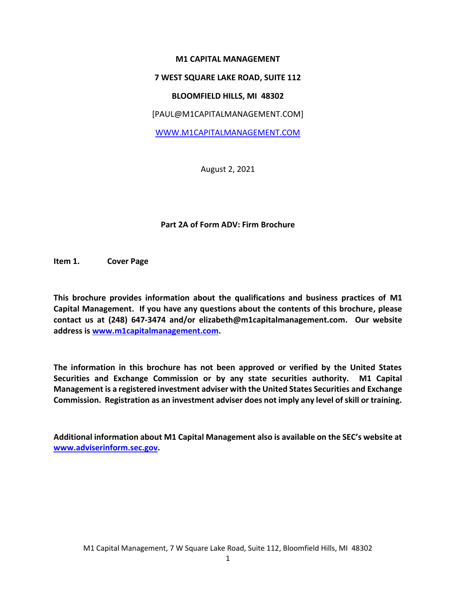## **M1 CAPITAL MANAGEMENT**

### **7 WEST SQUARE LAKE ROAD, SUITE 112**

### **BLOOMFIELD HILLS, MI 48302**

[PAUL@M1CAPITALMANAGEMENT.COM]

[WWW.M1CAPITALM](http://www.m1capital/)ANAGEMENT.COM

August 2, 2021

### **Part 2A of Form ADV: Firm Brochure**

**Item 1. Cover Page**

**This brochure provides information about the qualifications and business practices of M1 Capital Management. If you have any questions about the contents of this brochure, please contact us at (248) 647-3474 and/or elizabeth@m1capitalmanagement.com. Our website address is [www.m1capitalmanagement.com.](file:///C:/Users/Elizabeth/AppData/Local/Microsoft/Windows/Temporary%20Internet%20Files/Content.Outlook/5DZT94VJ/www.m1capitalmanagement.com)** 

**The information in this brochure has not been approved or verified by the United States Securities and Exchange Commission or by any state securities authority. M1 Capital Management is a registered investment adviser with the United States Securities and Exchange Commission. Registration as an investment adviser does not imply any level of skill or training.**

**Additional information about M1 Capital Management also is available on the SEC's website at [www.adviserinform.sec.gov.](http://www.adviserinform.sec.gov/)**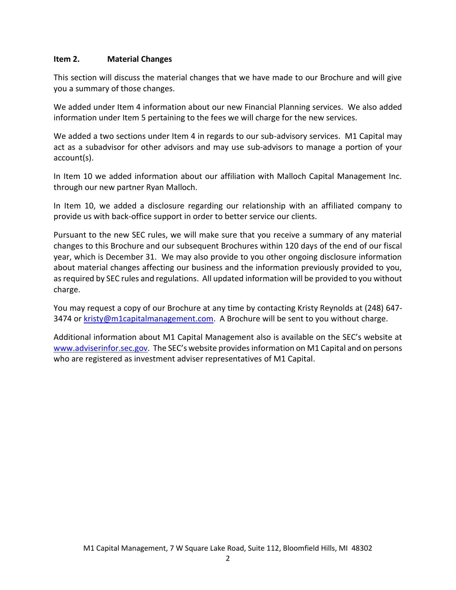## **Item 2. Material Changes**

This section will discuss the material changes that we have made to our Brochure and will give you a summary of those changes.

We added under Item 4 information about our new Financial Planning services. We also added information under Item 5 pertaining to the fees we will charge for the new services.

We added a two sections under Item 4 in regards to our sub-advisory services. M1 Capital may act as a subadvisor for other advisors and may use sub-advisors to manage a portion of your account(s).

In Item 10 we added information about our affiliation with Malloch Capital Management Inc. through our new partner Ryan Malloch.

In Item 10, we added a disclosure regarding our relationship with an affiliated company to provide us with back-office support in order to better service our clients.

Pursuant to the new SEC rules, we will make sure that you receive a summary of any material changes to this Brochure and our subsequent Brochures within 120 days of the end of our fiscal year, which is December 31. We may also provide to you other ongoing disclosure information about material changes affecting our business and the information previously provided to you, as required by SEC rules and regulations. All updated information will be provided to you without charge.

You may request a copy of our Brochure at any time by contacting Kristy Reynolds at (248) 647 3474 or [kristy@m1capitalmanagement.com.](mailto:kristy@m1capitalmanagement.com) A Brochure will be sent to you without charge.

Additional information about M1 Capital Management also is available on the SEC's website at [www.adviserinfor.sec.gov](http://www.adviserinfor.sec.gov/). The SEC's website provides information on M1 Capital and on persons who are registered as investment adviser representatives of M1 Capital.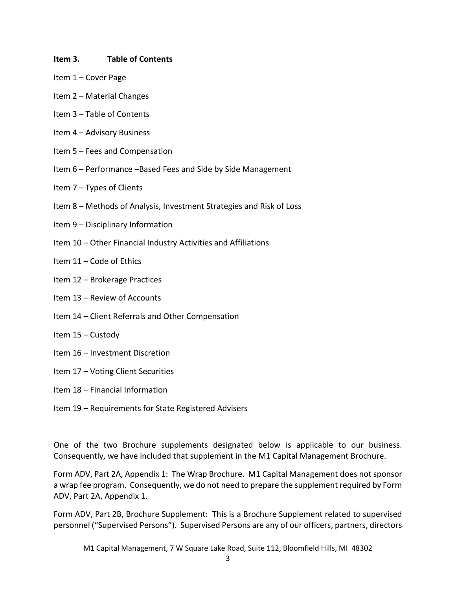### **Item 3. Table of Contents**

- Item 1 Cover Page
- Item 2 Material Changes
- Item 3 Table of Contents
- Item 4 Advisory Business
- Item 5 Fees and Compensation
- Item 6 Performance –Based Fees and Side by Side Management
- Item 7 Types of Clients
- Item 8 Methods of Analysis, Investment Strategies and Risk of Loss
- Item 9 Disciplinary Information
- Item 10 Other Financial Industry Activities and Affiliations
- Item 11 Code of Ethics
- Item 12 Brokerage Practices
- Item 13 Review of Accounts
- Item 14 Client Referrals and Other Compensation
- Item 15 Custody
- Item 16 Investment Discretion
- Item 17 Voting Client Securities
- Item 18 Financial Information
- Item 19 Requirements for State Registered Advisers

One of the two Brochure supplements designated below is applicable to our business. Consequently, we have included that supplement in the M1 Capital Management Brochure.

Form ADV, Part 2A, Appendix 1: The Wrap Brochure. M1 Capital Management does not sponsor a wrap fee program. Consequently, we do not need to prepare the supplement required by Form ADV, Part 2A, Appendix 1.

Form ADV, Part 2B, Brochure Supplement: This is a Brochure Supplement related to supervised personnel ("Supervised Persons"). Supervised Persons are any of our officers, partners, directors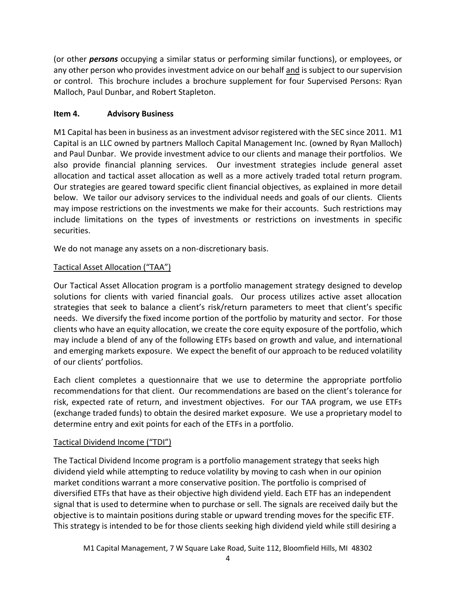(or other *persons* occupying a similar status or performing similar functions), or employees, or any other person who provides investment advice on our behalf and is subject to our supervision or control. This brochure includes a brochure supplement for four Supervised Persons: Ryan Malloch, Paul Dunbar, and Robert Stapleton.

# **Item 4. Advisory Business**

M1 Capital has been in business as an investment advisor registered with the SEC since 2011. M1 Capital is an LLC owned by partners Malloch Capital Management Inc. (owned by Ryan Malloch) and Paul Dunbar. We provide investment advice to our clients and manage their portfolios. We also provide financial planning services. Our investment strategies include general asset allocation and tactical asset allocation as well as a more actively traded total return program. Our strategies are geared toward specific client financial objectives, as explained in more detail below. We tailor our advisory services to the individual needs and goals of our clients. Clients may impose restrictions on the investments we make for their accounts. Such restrictions may include limitations on the types of investments or restrictions on investments in specific securities.

We do not manage any assets on a non-discretionary basis.

# Tactical Asset Allocation ("TAA")

Our Tactical Asset Allocation program is a portfolio management strategy designed to develop solutions for clients with varied financial goals. Our process utilizes active asset allocation strategies that seek to balance a client's risk/return parameters to meet that client's specific needs. We diversify the fixed income portion of the portfolio by maturity and sector. For those clients who have an equity allocation, we create the core equity exposure of the portfolio, which may include a blend of any of the following ETFs based on growth and value, and international and emerging markets exposure. We expect the benefit of our approach to be reduced volatility of our clients' portfolios.

Each client completes a questionnaire that we use to determine the appropriate portfolio recommendations for that client. Our recommendations are based on the client's tolerance for risk, expected rate of return, and investment objectives. For our TAA program, we use ETFs (exchange traded funds) to obtain the desired market exposure. We use a proprietary model to determine entry and exit points for each of the ETFs in a portfolio.

# Tactical Dividend Income ("TDI")

The Tactical Dividend Income program is a portfolio management strategy that seeks high dividend yield while attempting to reduce volatility by moving to cash when in our opinion market conditions warrant a more conservative position. The portfolio is comprised of diversified ETFs that have as their objective high dividend yield. Each ETF has an independent signal that is used to determine when to purchase or sell. The signals are received daily but the objective is to maintain positions during stable or upward trending moves for the specific ETF. This strategy is intended to be for those clients seeking high dividend yield while still desiring a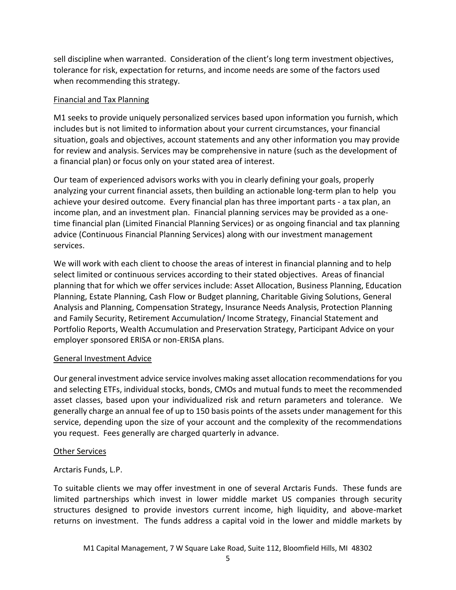sell discipline when warranted. Consideration of the client's long term investment objectives, tolerance for risk, expectation for returns, and income needs are some of the factors used when recommending this strategy.

## Financial and Tax Planning

M1 seeks to provide uniquely personalized services based upon information you furnish, which includes but is not limited to information about your current circumstances, your financial situation, goals and objectives, account statements and any other information you may provide for review and analysis. Services may be comprehensive in nature (such as the development of a financial plan) or focus only on your stated area of interest.

Our team of experienced advisors works with you in clearly defining your goals, properly analyzing your current financial assets, then building an actionable long-term plan to help you achieve your desired outcome. Every financial plan has three important parts - a tax plan, an income plan, and an investment plan. Financial planning services may be provided as a onetime financial plan (Limited Financial Planning Services) or as ongoing financial and tax planning advice (Continuous Financial Planning Services) along with our investment management services.

We will work with each client to choose the areas of interest in financial planning and to help select limited or continuous services according to their stated objectives. Areas of financial planning that for which we offer services include: Asset Allocation, Business Planning, Education Planning, Estate Planning, Cash Flow or Budget planning, Charitable Giving Solutions, General Analysis and Planning, Compensation Strategy, Insurance Needs Analysis, Protection Planning and Family Security, Retirement Accumulation/ Income Strategy, Financial Statement and Portfolio Reports, Wealth Accumulation and Preservation Strategy, Participant Advice on your employer sponsored ERISA or non-ERISA plans.

## General Investment Advice

Our general investment advice service involves making asset allocation recommendations for you and selecting ETFs, individual stocks, bonds, CMOs and mutual funds to meet the recommended asset classes, based upon your individualized risk and return parameters and tolerance. We generally charge an annual fee of up to 150 basis points of the assets under management for this service, depending upon the size of your account and the complexity of the recommendations you request. Fees generally are charged quarterly in advance.

## Other Services

## Arctaris Funds, L.P.

To suitable clients we may offer investment in one of several Arctaris Funds. These funds are limited partnerships which invest in lower middle market US companies through security structures designed to provide investors current income, high liquidity, and above-market returns on investment. The funds address a capital void in the lower and middle markets by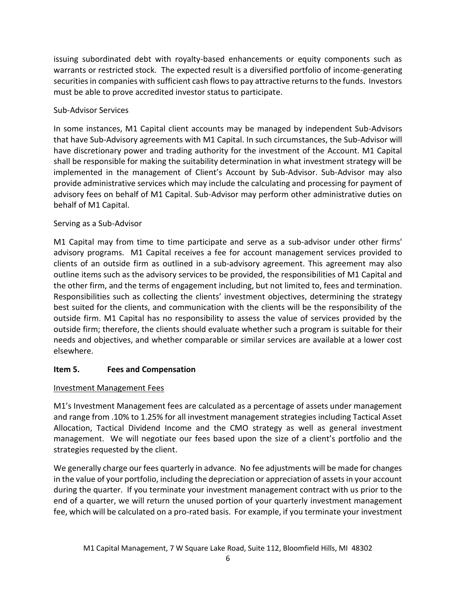issuing subordinated debt with royalty-based enhancements or equity components such as warrants or restricted stock. The expected result is a diversified portfolio of income-generating securities in companies with sufficient cash flows to pay attractive returns to the funds. Investors must be able to prove accredited investor status to participate.

# Sub-Advisor Services

In some instances, M1 Capital client accounts may be managed by independent Sub-Advisors that have Sub-Advisory agreements with M1 Capital. In such circumstances, the Sub-Advisor will have discretionary power and trading authority for the investment of the Account. M1 Capital shall be responsible for making the suitability determination in what investment strategy will be implemented in the management of Client's Account by Sub-Advisor. Sub-Advisor may also provide administrative services which may include the calculating and processing for payment of advisory fees on behalf of M1 Capital. Sub-Advisor may perform other administrative duties on behalf of M1 Capital.

# Serving as a Sub-Advisor

M1 Capital may from time to time participate and serve as a sub-advisor under other firms' advisory programs. M1 Capital receives a fee for account management services provided to clients of an outside firm as outlined in a sub-advisory agreement. This agreement may also outline items such as the advisory services to be provided, the responsibilities of M1 Capital and the other firm, and the terms of engagement including, but not limited to, fees and termination. Responsibilities such as collecting the clients' investment objectives, determining the strategy best suited for the clients, and communication with the clients will be the responsibility of the outside firm. M1 Capital has no responsibility to assess the value of services provided by the outside firm; therefore, the clients should evaluate whether such a program is suitable for their needs and objectives, and whether comparable or similar services are available at a lower cost elsewhere.

# **Item 5. Fees and Compensation**

# Investment Management Fees

M1's Investment Management fees are calculated as a percentage of assets under management and range from .10% to 1.25% for all investment management strategies including Tactical Asset Allocation, Tactical Dividend Income and the CMO strategy as well as general investment management. We will negotiate our fees based upon the size of a client's portfolio and the strategies requested by the client.

We generally charge our fees quarterly in advance. No fee adjustments will be made for changes in the value of your portfolio, including the depreciation or appreciation of assets in your account during the quarter. If you terminate your investment management contract with us prior to the end of a quarter, we will return the unused portion of your quarterly investment management fee, which will be calculated on a pro-rated basis. For example, if you terminate your investment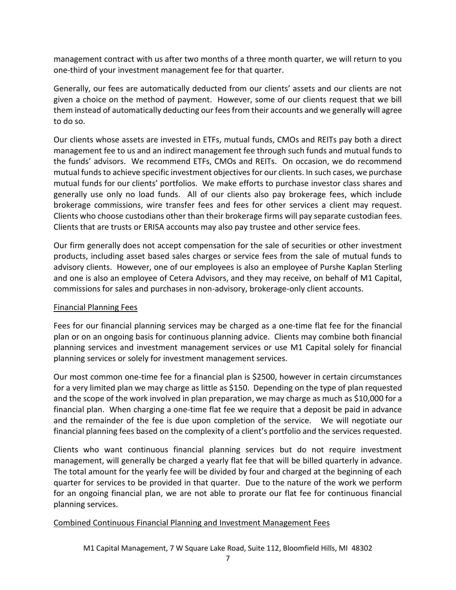management contract with us after two months of a three month quarter, we will return to you one-third of your investment management fee for that quarter.

Generally, our fees are automatically deducted from our clients' assets and our clients are not given a choice on the method of payment. However, some of our clients request that we bill them instead of automatically deducting our fees from their accounts and we generally will agree to do so.

Our clients whose assets are invested in ETFs, mutual funds, CMOs and REITs pay both a direct management fee to us and an indirect management fee through such funds and mutual funds to the funds' advisors. We recommend ETFs, CMOs and REITs. On occasion, we do recommend mutual funds to achieve specific investment objectives for our clients. In such cases, we purchase mutual funds for our clients' portfolios. We make efforts to purchase investor class shares and generally use only no load funds. All of our clients also pay brokerage fees, which include brokerage commissions, wire transfer fees and fees for other services a client may request. Clients who choose custodians other than their brokerage firms will pay separate custodian fees. Clients that are trusts or ERISA accounts may also pay trustee and other service fees.

Our firm generally does not accept compensation for the sale of securities or other investment products, including asset based sales charges or service fees from the sale of mutual funds to advisory clients. However, one of our employees is also an employee of Purshe Kaplan Sterling and one is also an employee of Cetera Advisors, and they may receive, on behalf of M1 Capital, commissions for sales and purchases in non-advisory, brokerage-only client accounts.

# Financial Planning Fees

Fees for our financial planning services may be charged as a one-time flat fee for the financial plan or on an ongoing basis for continuous planning advice. Clients may combine both financial planning services and investment management services or use M1 Capital solely for financial planning services or solely for investment management services.

Our most common one-time fee for a financial plan is \$2500, however in certain circumstances for a very limited plan we may charge as little as \$150. Depending on the type of plan requested and the scope of the work involved in plan preparation, we may charge as much as \$10,000 for a financial plan. When charging a one-time flat fee we require that a deposit be paid in advance and the remainder of the fee is due upon completion of the service. We will negotiate our financial planning fees based on the complexity of a client's portfolio and the services requested.

Clients who want continuous financial planning services but do not require investment management, will generally be charged a yearly flat fee that will be billed quarterly in advance. The total amount for the yearly fee will be divided by four and charged at the beginning of each quarter for services to be provided in that quarter. Due to the nature of the work we perform for an ongoing financial plan, we are not able to prorate our flat fee for continuous financial planning services.

## Combined Continuous Financial Planning and Investment Management Fees

M1 Capital Management, 7 W Square Lake Road, Suite 112, Bloomfield Hills, MI 48302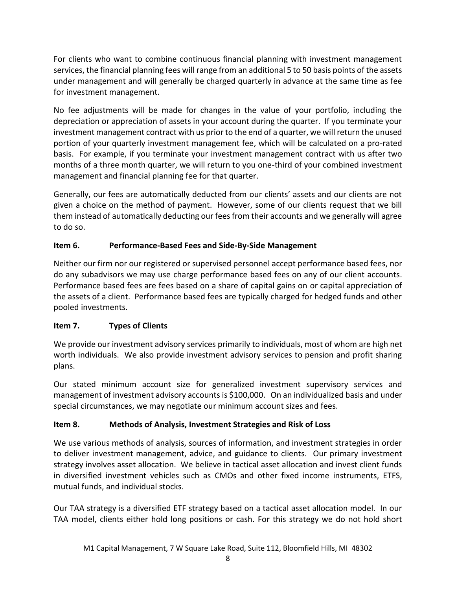For clients who want to combine continuous financial planning with investment management services, the financial planning fees will range from an additional 5 to 50 basis points of the assets under management and will generally be charged quarterly in advance at the same time as fee for investment management.

No fee adjustments will be made for changes in the value of your portfolio, including the depreciation or appreciation of assets in your account during the quarter. If you terminate your investment management contract with us prior to the end of a quarter, we will return the unused portion of your quarterly investment management fee, which will be calculated on a pro-rated basis. For example, if you terminate your investment management contract with us after two months of a three month quarter, we will return to you one-third of your combined investment management and financial planning fee for that quarter.

Generally, our fees are automatically deducted from our clients' assets and our clients are not given a choice on the method of payment. However, some of our clients request that we bill them instead of automatically deducting our fees from their accounts and we generally will agree to do so.

# **Item 6. Performance-Based Fees and Side-By-Side Management**

Neither our firm nor our registered or supervised personnel accept performance based fees, nor do any subadvisors we may use charge performance based fees on any of our client accounts. Performance based fees are fees based on a share of capital gains on or capital appreciation of the assets of a client. Performance based fees are typically charged for hedged funds and other pooled investments.

# **Item 7. Types of Clients**

We provide our investment advisory services primarily to individuals, most of whom are high net worth individuals. We also provide investment advisory services to pension and profit sharing plans.

Our stated minimum account size for generalized investment supervisory services and management of investment advisory accounts is \$100,000. On an individualized basis and under special circumstances, we may negotiate our minimum account sizes and fees.

# **Item 8. Methods of Analysis, Investment Strategies and Risk of Loss**

We use various methods of analysis, sources of information, and investment strategies in order to deliver investment management, advice, and guidance to clients. Our primary investment strategy involves asset allocation. We believe in tactical asset allocation and invest client funds in diversified investment vehicles such as CMOs and other fixed income instruments, ETFS, mutual funds, and individual stocks.

Our TAA strategy is a diversified ETF strategy based on a tactical asset allocation model. In our TAA model, clients either hold long positions or cash. For this strategy we do not hold short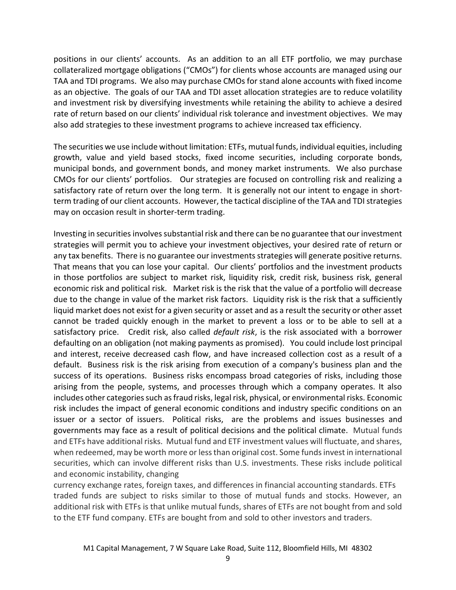positions in our clients' accounts. As an addition to an all ETF portfolio, we may purchase collateralized mortgage obligations ("CMOs") for clients whose accounts are managed using our TAA and TDI programs. We also may purchase CMOs for stand alone accounts with fixed income as an objective. The goals of our TAA and TDI asset allocation strategies are to reduce volatility and investment risk by diversifying investments while retaining the ability to achieve a desired rate of return based on our clients' individual risk tolerance and investment objectives. We may also add strategies to these investment programs to achieve increased tax efficiency.

The securities we use include without limitation: ETFs, mutual funds, individual equities, including growth, value and yield based stocks, fixed income securities, including corporate bonds, municipal bonds, and government bonds, and money market instruments. We also purchase CMOs for our clients' portfolios. Our strategies are focused on controlling risk and realizing a satisfactory rate of return over the long term. It is generally not our intent to engage in shortterm trading of our client accounts. However, the tactical discipline of the TAA and TDI strategies may on occasion result in shorter-term trading.

Investing in securities involves substantial risk and there can be no guarantee that our investment strategies will permit you to achieve your investment objectives, your desired rate of return or any tax benefits. There is no guarantee our investments strategies will generate positive returns. That means that you can lose your capital. Our clients' portfolios and the investment products in those portfolios are subject to market risk, liquidity risk, credit risk, business risk, general economic risk and political risk. Market risk is the risk that the value of a portfolio will decrease due to the change in value of the market risk factors. Liquidity risk is the risk that a sufficiently liquid market does not exist for a given security or asset and as a result the security or other asset cannot be traded quickly enough in the market to prevent a loss or to be able to sell at a satisfactory price. Credit risk, also called *default risk*, is the risk associated with a borrower defaulting on an obligation (not making payments as promised). You could include lost principal and interest, receive decreased cash flow, and have increased collection cost as a result of a default. Business risk is the risk arising from execution of a company's business plan and the success of its operations. Business risks encompass broad categories of risks, including those arising from the people, systems, and processes through which a company operates. It also includes other categories such as fraud risks, legal risk, physical, or environmental risks. Economic risk includes the impact of general economic conditions and industry specific conditions on an issuer or a sector of issuers. Political risks, are the problems and issues businesses and governments may face as a result of political decisions and the political climate. Mutual funds and ETFs have additional risks. Mutual fund and ETF investment values will fluctuate, and shares, when redeemed, may be worth more or less than original cost. Some funds invest in international securities, which can involve different risks than U.S. investments. These risks include political and economic instability, changing

currency exchange rates, foreign taxes, and differences in financial accounting standards. ETFs traded funds are subject to risks similar to those of mutual funds and stocks. However, an additional risk with ETFs is that unlike mutual funds, shares of ETFs are not bought from and sold to the ETF fund company. ETFs are bought from and sold to other investors and traders.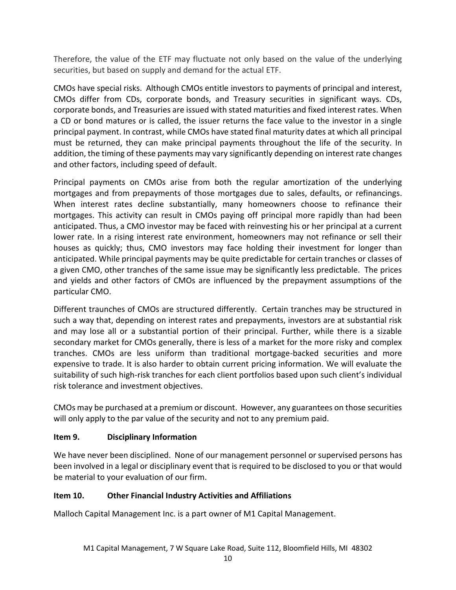Therefore, the value of the ETF may fluctuate not only based on the value of the underlying securities, but based on supply and demand for the actual ETF.

CMOs have special risks. Although CMOs entitle investors to payments of principal and interest, CMOs differ from CDs, corporate bonds, and Treasury securities in significant ways. CDs, corporate bonds, and Treasuries are issued with stated maturities and fixed interest rates. When a CD or bond matures or is called, the issuer returns the face value to the investor in a single principal payment. In contrast, while CMOs have stated final maturity dates at which all principal must be returned, they can make principal payments throughout the life of the security. In addition, the timing of these payments may vary significantly depending on interest rate changes and other factors, including speed of default.

Principal payments on CMOs arise from both the regular amortization of the underlying mortgages and from prepayments of those mortgages due to sales, defaults, or refinancings. When interest rates decline substantially, many homeowners choose to refinance their mortgages. This activity can result in CMOs paying off principal more rapidly than had been anticipated. Thus, a CMO investor may be faced with reinvesting his or her principal at a current lower rate. In a rising interest rate environment, homeowners may not refinance or sell their houses as quickly; thus, CMO investors may face holding their investment for longer than anticipated. While principal payments may be quite predictable for certain tranches or classes of a given CMO, other tranches of the same issue may be significantly less predictable. The prices and yields and other factors of CMOs are influenced by the prepayment assumptions of the particular CMO.

Different traunches of CMOs are structured differently. Certain tranches may be structured in such a way that, depending on interest rates and prepayments, investors are at substantial risk and may lose all or a substantial portion of their principal. Further, while there is a sizable secondary market for CMOs generally, there is less of a market for the more risky and complex tranches. CMOs are less uniform than traditional mortgage-backed securities and more expensive to trade. It is also harder to obtain current pricing information. We will evaluate the suitability of such high-risk tranches for each client portfolios based upon such client's individual risk tolerance and investment objectives.

CMOs may be purchased at a premium or discount. However, any guarantees on those securities will only apply to the par value of the security and not to any premium paid.

# **Item 9. Disciplinary Information**

We have never been disciplined. None of our management personnel or supervised persons has been involved in a legal or disciplinary event that is required to be disclosed to you or that would be material to your evaluation of our firm.

# **Item 10. Other Financial Industry Activities and Affiliations**

Malloch Capital Management Inc. is a part owner of M1 Capital Management.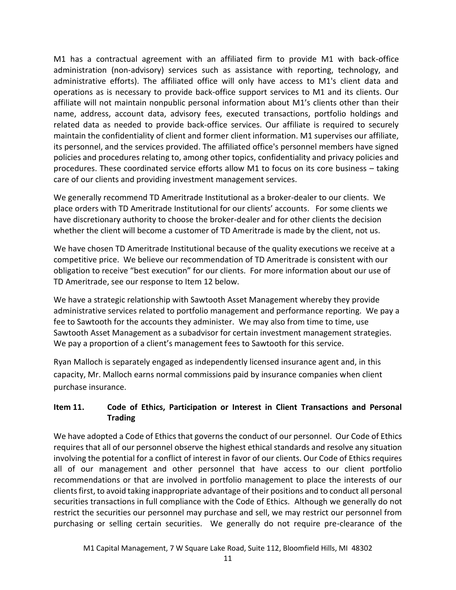M1 has a contractual agreement with an affiliated firm to provide M1 with back-office administration (non-advisory) services such as assistance with reporting, technology, and administrative efforts). The affiliated office will only have access to M1's client data and operations as is necessary to provide back-office support services to M1 and its clients. Our affiliate will not maintain nonpublic personal information about M1's clients other than their name, address, account data, advisory fees, executed transactions, portfolio holdings and related data as needed to provide back-office services. Our affiliate is required to securely maintain the confidentiality of client and former client information. M1 supervises our affiliate, its personnel, and the services provided. The affiliated office's personnel members have signed policies and procedures relating to, among other topics, confidentiality and privacy policies and procedures. These coordinated service efforts allow M1 to focus on its core business – taking care of our clients and providing investment management services.

We generally recommend TD Ameritrade Institutional as a broker-dealer to our clients. We place orders with TD Ameritrade Institutional for our clients' accounts. For some clients we have discretionary authority to choose the broker-dealer and for other clients the decision whether the client will become a customer of TD Ameritrade is made by the client, not us.

We have chosen TD Ameritrade Institutional because of the quality executions we receive at a competitive price. We believe our recommendation of TD Ameritrade is consistent with our obligation to receive "best execution" for our clients. For more information about our use of TD Ameritrade, see our response to Item 12 below.

We have a strategic relationship with Sawtooth Asset Management whereby they provide administrative services related to portfolio management and performance reporting. We pay a fee to Sawtooth for the accounts they administer. We may also from time to time, use Sawtooth Asset Management as a subadvisor for certain investment management strategies. We pay a proportion of a client's management fees to Sawtooth for this service.

Ryan Malloch is separately engaged as independently licensed insurance agent and, in this capacity, Mr. Malloch earns normal commissions paid by insurance companies when client purchase insurance.

# **Item 11. Code of Ethics, Participation or Interest in Client Transactions and Personal Trading**

We have adopted a Code of Ethics that governs the conduct of our personnel. Our Code of Ethics requires that all of our personnel observe the highest ethical standards and resolve any situation involving the potential for a conflict of interest in favor of our clients. Our Code of Ethics requires all of our management and other personnel that have access to our client portfolio recommendations or that are involved in portfolio management to place the interests of our clients first, to avoid taking inappropriate advantage of their positions and to conduct all personal securities transactions in full compliance with the Code of Ethics. Although we generally do not restrict the securities our personnel may purchase and sell, we may restrict our personnel from purchasing or selling certain securities. We generally do not require pre-clearance of the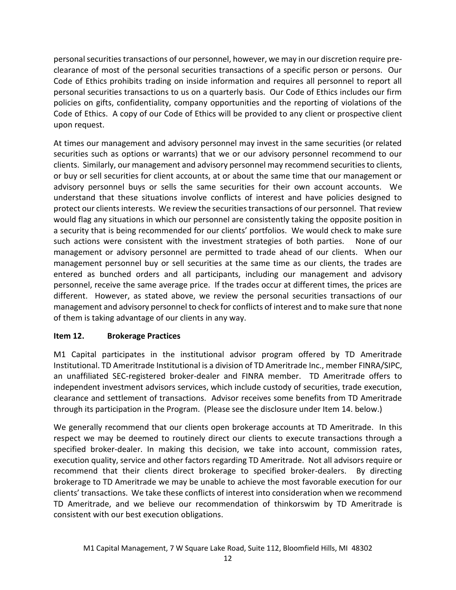personal securities transactions of our personnel, however, we may in our discretion require preclearance of most of the personal securities transactions of a specific person or persons. Our Code of Ethics prohibits trading on inside information and requires all personnel to report all personal securities transactions to us on a quarterly basis. Our Code of Ethics includes our firm policies on gifts, confidentiality, company opportunities and the reporting of violations of the Code of Ethics. A copy of our Code of Ethics will be provided to any client or prospective client upon request.

At times our management and advisory personnel may invest in the same securities (or related securities such as options or warrants) that we or our advisory personnel recommend to our clients. Similarly, our management and advisory personnel may recommend securities to clients, or buy or sell securities for client accounts, at or about the same time that our management or advisory personnel buys or sells the same securities for their own account accounts. We understand that these situations involve conflicts of interest and have policies designed to protect our clients interests. We review the securities transactions of our personnel. That review would flag any situations in which our personnel are consistently taking the opposite position in a security that is being recommended for our clients' portfolios. We would check to make sure such actions were consistent with the investment strategies of both parties. None of our management or advisory personnel are permitted to trade ahead of our clients. When our management personnel buy or sell securities at the same time as our clients, the trades are entered as bunched orders and all participants, including our management and advisory personnel, receive the same average price. If the trades occur at different times, the prices are different. However, as stated above, we review the personal securities transactions of our management and advisory personnel to check for conflicts of interest and to make sure that none of them is taking advantage of our clients in any way.

# **Item 12. Brokerage Practices**

M1 Capital participates in the institutional advisor program offered by TD Ameritrade Institutional. TD Ameritrade Institutional is a division of TD Ameritrade Inc., member FINRA/SIPC, an unaffiliated SEC-registered broker-dealer and FINRA member. TD Ameritrade offers to independent investment advisors services, which include custody of securities, trade execution, clearance and settlement of transactions. Advisor receives some benefits from TD Ameritrade through its participation in the Program. (Please see the disclosure under Item 14. below.)

We generally recommend that our clients open brokerage accounts at TD Ameritrade. In this respect we may be deemed to routinely direct our clients to execute transactions through a specified broker-dealer. In making this decision, we take into account, commission rates, execution quality, service and other factors regarding TD Ameritrade. Not all advisors require or recommend that their clients direct brokerage to specified broker-dealers. By directing brokerage to TD Ameritrade we may be unable to achieve the most favorable execution for our clients' transactions. We take these conflicts of interest into consideration when we recommend TD Ameritrade, and we believe our recommendation of thinkorswim by TD Ameritrade is consistent with our best execution obligations.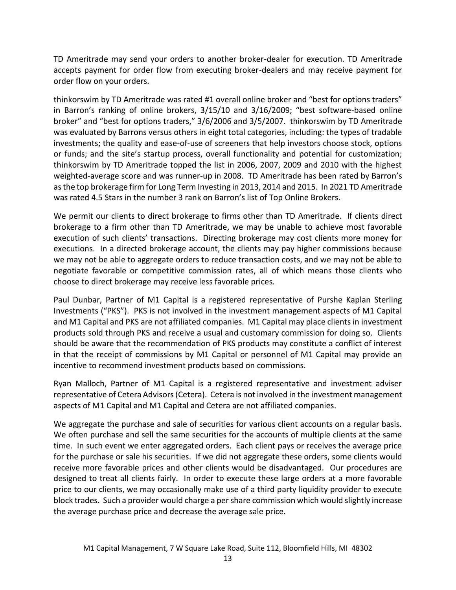TD Ameritrade may send your orders to another broker-dealer for execution. TD Ameritrade accepts payment for order flow from executing broker-dealers and may receive payment for order flow on your orders.

thinkorswim by TD Ameritrade was rated #1 overall online broker and "best for options traders" in Barron's ranking of online brokers, 3/15/10 and 3/16/2009; "best software-based online broker" and "best for options traders," 3/6/2006 and 3/5/2007. thinkorswim by TD Ameritrade was evaluated by Barrons versus others in eight total categories, including: the types of tradable investments; the quality and ease-of-use of screeners that help investors choose stock, options or funds; and the site's startup process, overall functionality and potential for customization; thinkorswim by TD Ameritrade topped the list in 2006, 2007, 2009 and 2010 with the highest weighted-average score and was runner-up in 2008. TD Ameritrade has been rated by Barron's as the top brokerage firm for Long Term Investing in 2013, 2014 and 2015. In 2021 TD Ameritrade was rated 4.5 Stars in the number 3 rank on Barron's list of Top Online Brokers.

We permit our clients to direct brokerage to firms other than TD Ameritrade. If clients direct brokerage to a firm other than TD Ameritrade, we may be unable to achieve most favorable execution of such clients' transactions. Directing brokerage may cost clients more money for executions. In a directed brokerage account, the clients may pay higher commissions because we may not be able to aggregate orders to reduce transaction costs, and we may not be able to negotiate favorable or competitive commission rates, all of which means those clients who choose to direct brokerage may receive less favorable prices.

Paul Dunbar, Partner of M1 Capital is a registered representative of Purshe Kaplan Sterling Investments ("PKS"). PKS is not involved in the investment management aspects of M1 Capital and M1 Capital and PKS are not affiliated companies. M1 Capital may place clients in investment products sold through PKS and receive a usual and customary commission for doing so. Clients should be aware that the recommendation of PKS products may constitute a conflict of interest in that the receipt of commissions by M1 Capital or personnel of M1 Capital may provide an incentive to recommend investment products based on commissions.

Ryan Malloch, Partner of M1 Capital is a registered representative and investment adviser representative of Cetera Advisors (Cetera). Cetera is not involved in the investment management aspects of M1 Capital and M1 Capital and Cetera are not affiliated companies.

We aggregate the purchase and sale of securities for various client accounts on a regular basis. We often purchase and sell the same securities for the accounts of multiple clients at the same time. In such event we enter aggregated orders. Each client pays or receives the average price for the purchase or sale his securities. If we did not aggregate these orders, some clients would receive more favorable prices and other clients would be disadvantaged. Our procedures are designed to treat all clients fairly. In order to execute these large orders at a more favorable price to our clients, we may occasionally make use of a third party liquidity provider to execute block trades. Such a provider would charge a per share commission which would slightly increase the average purchase price and decrease the average sale price.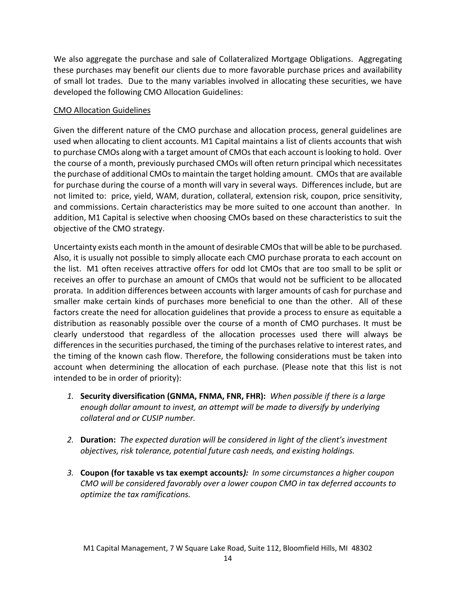We also aggregate the purchase and sale of Collateralized Mortgage Obligations. Aggregating these purchases may benefit our clients due to more favorable purchase prices and availability of small lot trades. Due to the many variables involved in allocating these securities, we have developed the following CMO Allocation Guidelines:

## CMO Allocation Guidelines

Given the different nature of the CMO purchase and allocation process, general guidelines are used when allocating to client accounts. M1 Capital maintains a list of clients accounts that wish to purchase CMOs along with a target amount of CMOs that each account is looking to hold. Over the course of a month, previously purchased CMOs will often return principal which necessitates the purchase of additional CMOs to maintain the target holding amount. CMOs that are available for purchase during the course of a month will vary in several ways. Differences include, but are not limited to: price, yield, WAM, duration, collateral, extension risk, coupon, price sensitivity, and commissions. Certain characteristics may be more suited to one account than another. In addition, M1 Capital is selective when choosing CMOs based on these characteristics to suit the objective of the CMO strategy.

Uncertainty exists each month in the amount of desirable CMOs that will be able to be purchased. Also, it is usually not possible to simply allocate each CMO purchase prorata to each account on the list. M1 often receives attractive offers for odd lot CMOs that are too small to be split or receives an offer to purchase an amount of CMOs that would not be sufficient to be allocated prorata. In addition differences between accounts with larger amounts of cash for purchase and smaller make certain kinds of purchases more beneficial to one than the other. All of these factors create the need for allocation guidelines that provide a process to ensure as equitable a distribution as reasonably possible over the course of a month of CMO purchases. It must be clearly understood that regardless of the allocation processes used there will always be differences in the securities purchased, the timing of the purchases relative to interest rates, and the timing of the known cash flow. Therefore, the following considerations must be taken into account when determining the allocation of each purchase. (Please note that this list is not intended to be in order of priority):

- *1.* **Security diversification (GNMA, FNMA, FNR, FHR):** *When possible if there is a large enough dollar amount to invest, an attempt will be made to diversify by underlying collateral and or CUSIP number.*
- *2.* **Duration:** *The expected duration will be considered in light of the client's investment objectives, risk tolerance, potential future cash needs, and existing holdings.*
- *3.* **Coupon (for taxable vs tax exempt accounts***): In some circumstances a higher coupon CMO will be considered favorably over a lower coupon CMO in tax deferred accounts to optimize the tax ramifications.*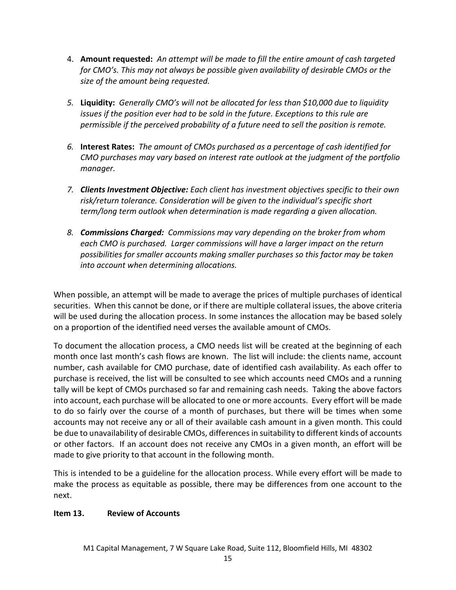- 4. **Amount requested:** *An attempt will be made to fill the entire amount of cash targeted for CMO's. This may not always be possible given availability of desirable CMOs or the size of the amount being requested.*
- *5.* **Liquidity:** *Generally CMO's will not be allocated for less than \$10,000 due to liquidity issues if the position ever had to be sold in the future. Exceptions to this rule are permissible if the perceived probability of a future need to sell the position is remote.*
- *6.* **Interest Rates:** *The amount of CMOs purchased as a percentage of cash identified for CMO purchases may vary based on interest rate outlook at the judgment of the portfolio manager.*
- *7. Clients Investment Objective: Each client has investment objectives specific to their own risk/return tolerance. Consideration will be given to the individual's specific short term/long term outlook when determination is made regarding a given allocation.*
- *8. Commissions Charged: Commissions may vary depending on the broker from whom each CMO is purchased. Larger commissions will have a larger impact on the return possibilities for smaller accounts making smaller purchases so this factor may be taken into account when determining allocations.*

When possible, an attempt will be made to average the prices of multiple purchases of identical securities. When this cannot be done, or if there are multiple collateral issues, the above criteria will be used during the allocation process. In some instances the allocation may be based solely on a proportion of the identified need verses the available amount of CMOs.

To document the allocation process, a CMO needs list will be created at the beginning of each month once last month's cash flows are known. The list will include: the clients name, account number, cash available for CMO purchase, date of identified cash availability. As each offer to purchase is received, the list will be consulted to see which accounts need CMOs and a running tally will be kept of CMOs purchased so far and remaining cash needs. Taking the above factors into account, each purchase will be allocated to one or more accounts. Every effort will be made to do so fairly over the course of a month of purchases, but there will be times when some accounts may not receive any or all of their available cash amount in a given month. This could be due to unavailability of desirable CMOs, differences in suitability to different kinds of accounts or other factors. If an account does not receive any CMOs in a given month, an effort will be made to give priority to that account in the following month.

This is intended to be a guideline for the allocation process. While every effort will be made to make the process as equitable as possible, there may be differences from one account to the next.

# **Item 13. Review of Accounts**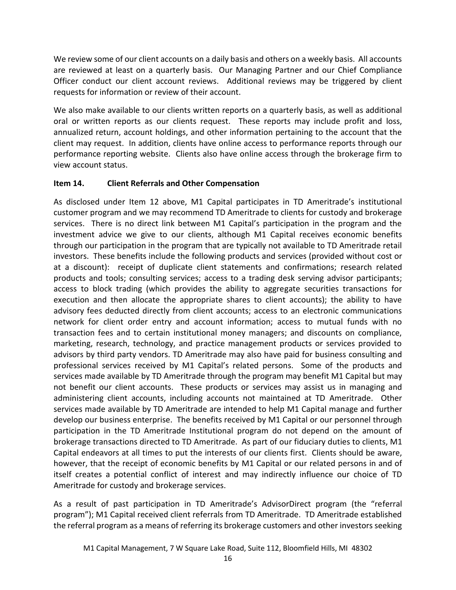We review some of our client accounts on a daily basis and others on a weekly basis. All accounts are reviewed at least on a quarterly basis. Our Managing Partner and our Chief Compliance Officer conduct our client account reviews. Additional reviews may be triggered by client requests for information or review of their account.

We also make available to our clients written reports on a quarterly basis, as well as additional oral or written reports as our clients request. These reports may include profit and loss, annualized return, account holdings, and other information pertaining to the account that the client may request. In addition, clients have online access to performance reports through our performance reporting website. Clients also have online access through the brokerage firm to view account status.

# **Item 14. Client Referrals and Other Compensation**

As disclosed under Item 12 above, M1 Capital participates in TD Ameritrade's institutional customer program and we may recommend TD Ameritrade to clients for custody and brokerage services. There is no direct link between M1 Capital's participation in the program and the investment advice we give to our clients, although M1 Capital receives economic benefits through our participation in the program that are typically not available to TD Ameritrade retail investors. These benefits include the following products and services (provided without cost or at a discount): receipt of duplicate client statements and confirmations; research related products and tools; consulting services; access to a trading desk serving advisor participants; access to block trading (which provides the ability to aggregate securities transactions for execution and then allocate the appropriate shares to client accounts); the ability to have advisory fees deducted directly from client accounts; access to an electronic communications network for client order entry and account information; access to mutual funds with no transaction fees and to certain institutional money managers; and discounts on compliance, marketing, research, technology, and practice management products or services provided to advisors by third party vendors. TD Ameritrade may also have paid for business consulting and professional services received by M1 Capital's related persons. Some of the products and services made available by TD Ameritrade through the program may benefit M1 Capital but may not benefit our client accounts. These products or services may assist us in managing and administering client accounts, including accounts not maintained at TD Ameritrade. Other services made available by TD Ameritrade are intended to help M1 Capital manage and further develop our business enterprise. The benefits received by M1 Capital or our personnel through participation in the TD Ameritrade Institutional program do not depend on the amount of brokerage transactions directed to TD Ameritrade. As part of our fiduciary duties to clients, M1 Capital endeavors at all times to put the interests of our clients first. Clients should be aware, however, that the receipt of economic benefits by M1 Capital or our related persons in and of itself creates a potential conflict of interest and may indirectly influence our choice of TD Ameritrade for custody and brokerage services.

As a result of past participation in TD Ameritrade's AdvisorDirect program (the "referral program"); M1 Capital received client referrals from TD Ameritrade. TD Ameritrade established the referral program as a means of referring its brokerage customers and other investors seeking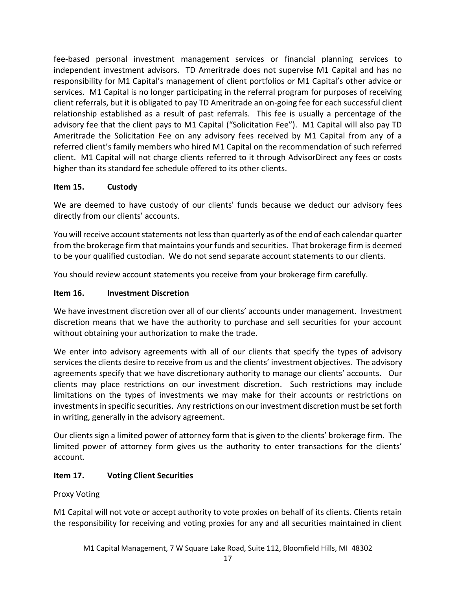fee-based personal investment management services or financial planning services to independent investment advisors. TD Ameritrade does not supervise M1 Capital and has no responsibility for M1 Capital's management of client portfolios or M1 Capital's other advice or services. M1 Capital is no longer participating in the referral program for purposes of receiving client referrals, but it is obligated to pay TD Ameritrade an on-going fee for each successful client relationship established as a result of past referrals. This fee is usually a percentage of the advisory fee that the client pays to M1 Capital ("Solicitation Fee"). M1 Capital will also pay TD Ameritrade the Solicitation Fee on any advisory fees received by M1 Capital from any of a referred client's family members who hired M1 Capital on the recommendation of such referred client. M1 Capital will not charge clients referred to it through AdvisorDirect any fees or costs higher than its standard fee schedule offered to its other clients.

# **Item 15. Custody**

We are deemed to have custody of our clients' funds because we deduct our advisory fees directly from our clients' accounts.

You will receive account statements not less than quarterly as of the end of each calendar quarter from the brokerage firm that maintains your funds and securities. That brokerage firm is deemed to be your qualified custodian. We do not send separate account statements to our clients.

You should review account statements you receive from your brokerage firm carefully.

# **Item 16. Investment Discretion**

We have investment discretion over all of our clients' accounts under management. Investment discretion means that we have the authority to purchase and sell securities for your account without obtaining your authorization to make the trade.

We enter into advisory agreements with all of our clients that specify the types of advisory services the clients desire to receive from us and the clients' investment objectives. The advisory agreements specify that we have discretionary authority to manage our clients' accounts. Our clients may place restrictions on our investment discretion. Such restrictions may include limitations on the types of investments we may make for their accounts or restrictions on investments in specific securities. Any restrictions on our investment discretion must be set forth in writing, generally in the advisory agreement.

Our clients sign a limited power of attorney form that is given to the clients' brokerage firm. The limited power of attorney form gives us the authority to enter transactions for the clients' account.

# **Item 17. Voting Client Securities**

# Proxy Voting

M1 Capital will not vote or accept authority to vote proxies on behalf of its clients. Clients retain the responsibility for receiving and voting proxies for any and all securities maintained in client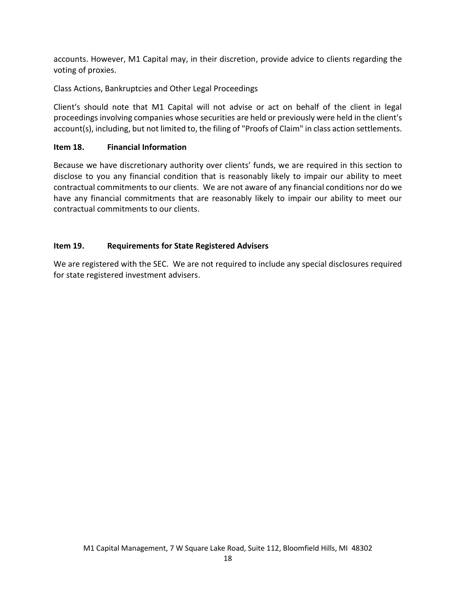accounts. However, M1 Capital may, in their discretion, provide advice to clients regarding the voting of proxies.

Class Actions, Bankruptcies and Other Legal Proceedings

Client's should note that M1 Capital will not advise or act on behalf of the client in legal proceedings involving companies whose securities are held or previously were held in the client's account(s), including, but not limited to, the filing of "Proofs of Claim" in class action settlements.

# **Item 18. Financial Information**

Because we have discretionary authority over clients' funds, we are required in this section to disclose to you any financial condition that is reasonably likely to impair our ability to meet contractual commitments to our clients. We are not aware of any financial conditions nor do we have any financial commitments that are reasonably likely to impair our ability to meet our contractual commitments to our clients.

# **Item 19. Requirements for State Registered Advisers**

We are registered with the SEC. We are not required to include any special disclosures required for state registered investment advisers.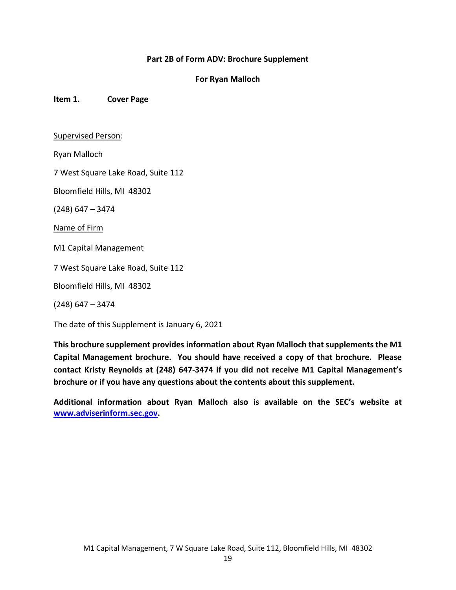### **Part 2B of Form ADV: Brochure Supplement**

### **For Ryan Malloch**

**Item 1. Cover Page**

#### Supervised Person:

Ryan Malloch

7 West Square Lake Road, Suite 112

Bloomfield Hills, MI 48302

(248) 647 – 3474

Name of Firm

M1 Capital Management

7 West Square Lake Road, Suite 112

Bloomfield Hills, MI 48302

(248) 647 – 3474

The date of this Supplement is January 6, 2021

**This brochure supplement provides information about Ryan Malloch that supplements the M1 Capital Management brochure. You should have received a copy of that brochure. Please contact Kristy Reynolds at (248) 647-3474 if you did not receive M1 Capital Management's brochure or if you have any questions about the contents about this supplement.**

**Additional information about Ryan Malloch also is available on the SEC's website at [www.adviserinform.sec.gov.](http://www.adviserinform.sec.gov/)**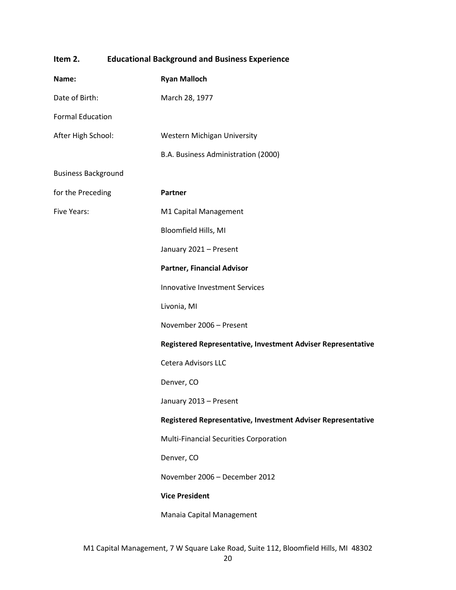| Item 2.                    |  | <b>Educational Background and Business Experience</b>        |  |  |
|----------------------------|--|--------------------------------------------------------------|--|--|
| Name:                      |  | <b>Ryan Malloch</b>                                          |  |  |
| Date of Birth:             |  | March 28, 1977                                               |  |  |
| <b>Formal Education</b>    |  |                                                              |  |  |
| After High School:         |  | Western Michigan University                                  |  |  |
|                            |  | B.A. Business Administration (2000)                          |  |  |
| <b>Business Background</b> |  |                                                              |  |  |
| for the Preceding          |  | Partner                                                      |  |  |
| <b>Five Years:</b>         |  | M1 Capital Management                                        |  |  |
|                            |  | Bloomfield Hills, MI                                         |  |  |
|                            |  | January 2021 - Present                                       |  |  |
|                            |  | <b>Partner, Financial Advisor</b>                            |  |  |
|                            |  | <b>Innovative Investment Services</b>                        |  |  |
|                            |  | Livonia, MI                                                  |  |  |
|                            |  | November 2006 - Present                                      |  |  |
|                            |  | Registered Representative, Investment Adviser Representative |  |  |
|                            |  | Cetera Advisors LLC                                          |  |  |
|                            |  | Denver, CO                                                   |  |  |
|                            |  | January 2013 - Present                                       |  |  |
|                            |  | Registered Representative, Investment Adviser Representative |  |  |
|                            |  | Multi-Financial Securities Corporation                       |  |  |
|                            |  | Denver, CO                                                   |  |  |
|                            |  | November 2006 - December 2012                                |  |  |
|                            |  | <b>Vice President</b>                                        |  |  |
|                            |  | Manaia Capital Management                                    |  |  |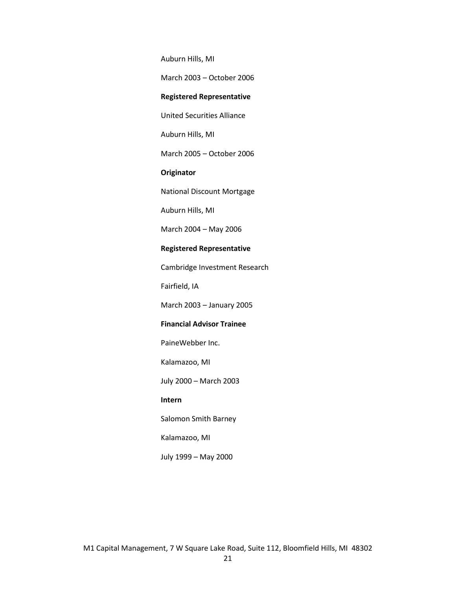Auburn Hills, MI

March 2003 – October 2006

#### **Registered Representative**

United Securities Alliance

Auburn Hills, MI

March 2005 – October 2006

### **Originator**

National Discount Mortgage

Auburn Hills, MI

March 2004 – May 2006

#### **Registered Representative**

Cambridge Investment Research

Fairfield, IA

March 2003 – January 2005

#### **Financial Advisor Trainee**

PaineWebber Inc.

Kalamazoo, MI

July 2000 – March 2003

#### **Intern**

Salomon Smith Barney

Kalamazoo, MI

July 1999 – May 2000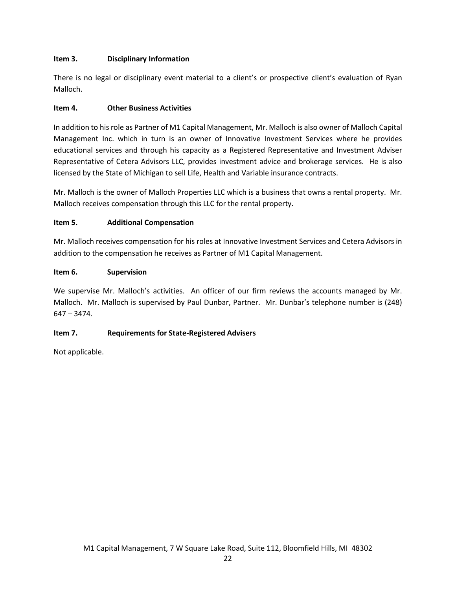## **Item 3. Disciplinary Information**

There is no legal or disciplinary event material to a client's or prospective client's evaluation of Ryan Malloch.

## **Item 4. Other Business Activities**

In addition to his role as Partner of M1 Capital Management, Mr. Malloch is also owner of Malloch Capital Management Inc. which in turn is an owner of Innovative Investment Services where he provides educational services and through his capacity as a Registered Representative and Investment Adviser Representative of Cetera Advisors LLC, provides investment advice and brokerage services. He is also licensed by the State of Michigan to sell Life, Health and Variable insurance contracts.

Mr. Malloch is the owner of Malloch Properties LLC which is a business that owns a rental property. Mr. Malloch receives compensation through this LLC for the rental property.

## **Item 5. Additional Compensation**

Mr. Malloch receives compensation for his roles at Innovative Investment Services and Cetera Advisors in addition to the compensation he receives as Partner of M1 Capital Management.

## **Item 6. Supervision**

We supervise Mr. Malloch's activities. An officer of our firm reviews the accounts managed by Mr. Malloch. Mr. Malloch is supervised by Paul Dunbar, Partner. Mr. Dunbar's telephone number is (248) 647 – 3474.

## **Item 7. Requirements for State-Registered Advisers**

Not applicable.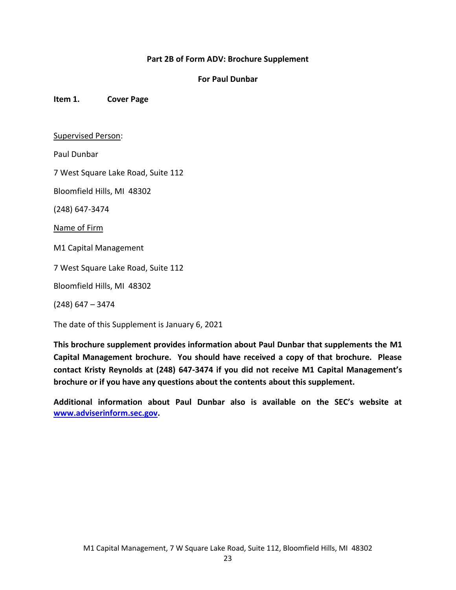### **Part 2B of Form ADV: Brochure Supplement**

### **For Paul Dunbar**

**Item 1. Cover Page**

#### Supervised Person:

Paul Dunbar

7 West Square Lake Road, Suite 112

Bloomfield Hills, MI 48302

(248) 647-3474

Name of Firm

M1 Capital Management

7 West Square Lake Road, Suite 112

Bloomfield Hills, MI 48302

(248) 647 – 3474

The date of this Supplement is January 6, 2021

**This brochure supplement provides information about Paul Dunbar that supplements the M1 Capital Management brochure. You should have received a copy of that brochure. Please contact Kristy Reynolds at (248) 647-3474 if you did not receive M1 Capital Management's brochure or if you have any questions about the contents about this supplement.**

**Additional information about Paul Dunbar also is available on the SEC's website at [www.adviserinform.sec.gov.](http://www.adviserinform.sec.gov/)**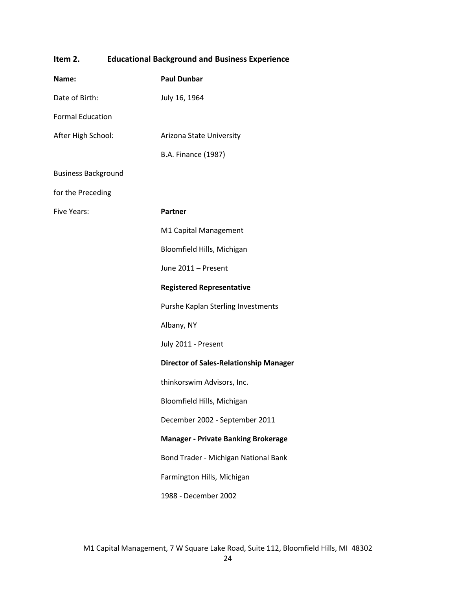| Item 2.                    | <b>Educational Background and Business Experience</b> |                                               |  |  |
|----------------------------|-------------------------------------------------------|-----------------------------------------------|--|--|
| Name:                      |                                                       | <b>Paul Dunbar</b>                            |  |  |
| Date of Birth:             |                                                       | July 16, 1964                                 |  |  |
| <b>Formal Education</b>    |                                                       |                                               |  |  |
| After High School:         |                                                       | Arizona State University                      |  |  |
|                            |                                                       | <b>B.A. Finance (1987)</b>                    |  |  |
| <b>Business Background</b> |                                                       |                                               |  |  |
| for the Preceding          |                                                       |                                               |  |  |
| <b>Five Years:</b>         |                                                       | <b>Partner</b>                                |  |  |
|                            |                                                       | M1 Capital Management                         |  |  |
|                            |                                                       | Bloomfield Hills, Michigan                    |  |  |
|                            |                                                       | June 2011 - Present                           |  |  |
|                            |                                                       | <b>Registered Representative</b>              |  |  |
|                            |                                                       | Purshe Kaplan Sterling Investments            |  |  |
|                            |                                                       | Albany, NY                                    |  |  |
|                            |                                                       | July 2011 - Present                           |  |  |
|                            |                                                       | <b>Director of Sales-Relationship Manager</b> |  |  |
|                            |                                                       | thinkorswim Advisors, Inc.                    |  |  |
|                            |                                                       | Bloomfield Hills, Michigan                    |  |  |
|                            |                                                       | December 2002 - September 2011                |  |  |
|                            |                                                       | <b>Manager - Private Banking Brokerage</b>    |  |  |
|                            |                                                       | Bond Trader - Michigan National Bank          |  |  |
|                            |                                                       | Farmington Hills, Michigan                    |  |  |
|                            |                                                       | 1988 - December 2002                          |  |  |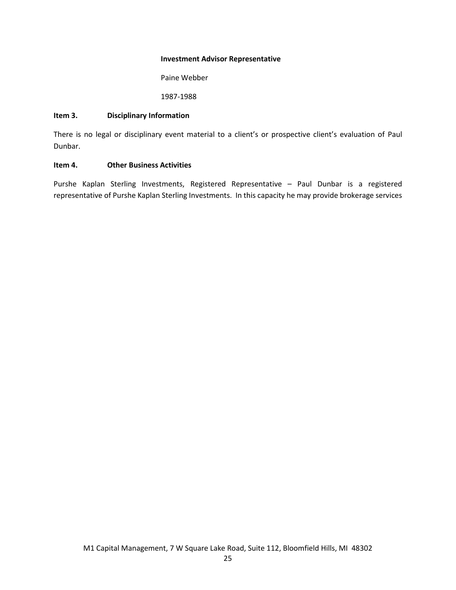#### **Investment Advisor Representative**

Paine Webber

1987-1988

#### **Item 3. Disciplinary Information**

There is no legal or disciplinary event material to a client's or prospective client's evaluation of Paul Dunbar.

### **Item 4. Other Business Activities**

Purshe Kaplan Sterling Investments, Registered Representative – Paul Dunbar is a registered representative of Purshe Kaplan Sterling Investments. In this capacity he may provide brokerage services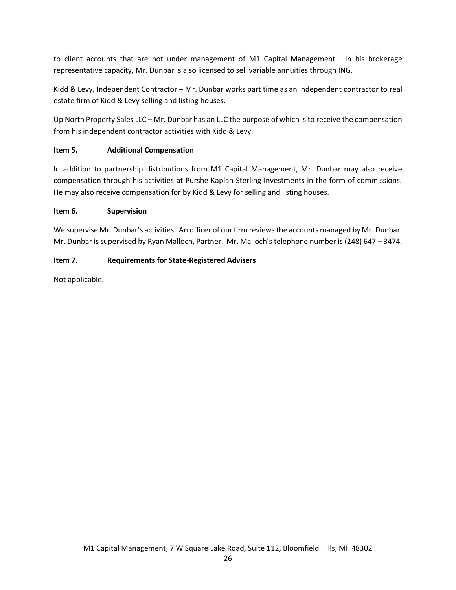to client accounts that are not under management of M1 Capital Management. In his brokerage representative capacity, Mr. Dunbar is also licensed to sell variable annuities through ING.

Kidd & Levy, Independent Contractor – Mr. Dunbar works part time as an independent contractor to real estate firm of Kidd & Levy selling and listing houses.

Up North Property Sales LLC – Mr. Dunbar has an LLC the purpose of which is to receive the compensation from his independent contractor activities with Kidd & Levy.

## **Item 5. Additional Compensation**

In addition to partnership distributions from M1 Capital Management, Mr. Dunbar may also receive compensation through his activities at Purshe Kaplan Sterling Investments in the form of commissions. He may also receive compensation for by Kidd & Levy for selling and listing houses.

## **Item 6. Supervision**

We supervise Mr. Dunbar's activities. An officer of our firm reviews the accounts managed by Mr. Dunbar. Mr. Dunbar is supervised by Ryan Malloch, Partner. Mr. Malloch's telephone number is (248) 647 – 3474.

## **Item 7. Requirements for State-Registered Advisers**

Not applicable.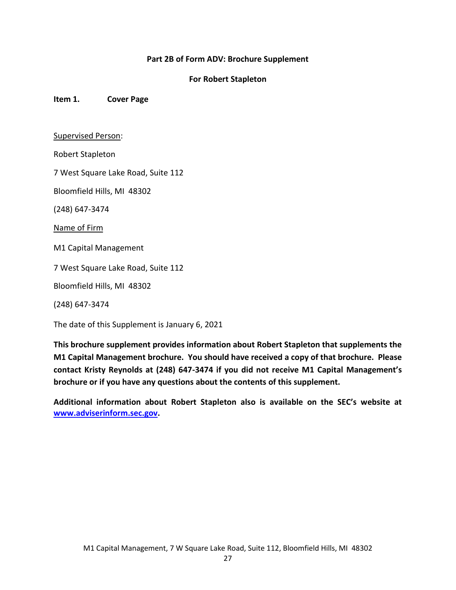### **Part 2B of Form ADV: Brochure Supplement**

### **For Robert Stapleton**

**Item 1. Cover Page**

#### Supervised Person:

Robert Stapleton

7 West Square Lake Road, Suite 112

Bloomfield Hills, MI 48302

(248) 647-3474

Name of Firm

M1 Capital Management

7 West Square Lake Road, Suite 112

Bloomfield Hills, MI 48302

(248) 647-3474

The date of this Supplement is January 6, 2021

**This brochure supplement provides information about Robert Stapleton that supplements the M1 Capital Management brochure. You should have received a copy of that brochure. Please contact Kristy Reynolds at (248) 647-3474 if you did not receive M1 Capital Management's brochure or if you have any questions about the contents of this supplement.**

**Additional information about Robert Stapleton also is available on the SEC's website at [www.adviserinform.sec.gov.](http://www.adviserinform.sec.gov/)**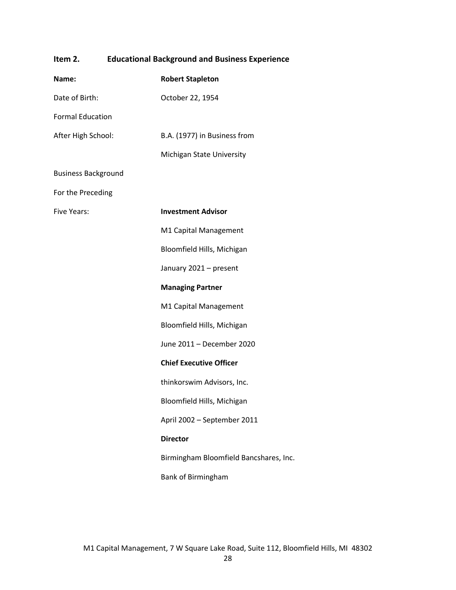| <b>Educational Background and Business Experience</b><br>Item 2. |  |                                        |
|------------------------------------------------------------------|--|----------------------------------------|
| Name:                                                            |  | <b>Robert Stapleton</b>                |
| Date of Birth:                                                   |  | October 22, 1954                       |
| <b>Formal Education</b>                                          |  |                                        |
| After High School:                                               |  | B.A. (1977) in Business from           |
|                                                                  |  | Michigan State University              |
| <b>Business Background</b>                                       |  |                                        |
| For the Preceding                                                |  |                                        |
| <b>Five Years:</b>                                               |  | <b>Investment Advisor</b>              |
|                                                                  |  | M1 Capital Management                  |
|                                                                  |  | Bloomfield Hills, Michigan             |
|                                                                  |  | January 2021 - present                 |
|                                                                  |  | <b>Managing Partner</b>                |
|                                                                  |  | M1 Capital Management                  |
|                                                                  |  | Bloomfield Hills, Michigan             |
|                                                                  |  | June 2011 - December 2020              |
|                                                                  |  | <b>Chief Executive Officer</b>         |
|                                                                  |  | thinkorswim Advisors, Inc.             |
|                                                                  |  | Bloomfield Hills, Michigan             |
|                                                                  |  | April 2002 - September 2011            |
|                                                                  |  | <b>Director</b>                        |
|                                                                  |  | Birmingham Bloomfield Bancshares, Inc. |
|                                                                  |  | Bank of Birmingham                     |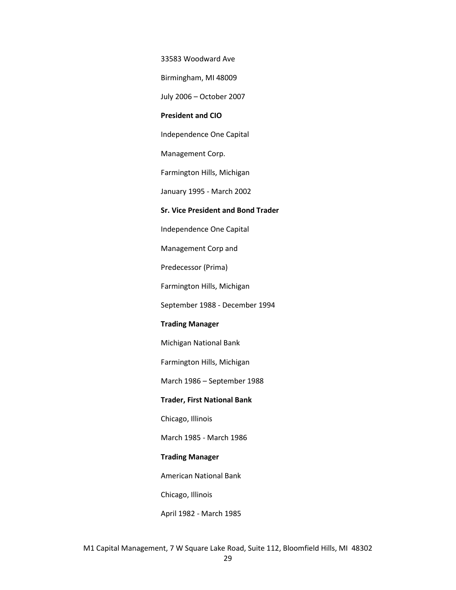33583 Woodward Ave

Birmingham, MI 48009

July 2006 – October 2007

#### **President and CIO**

Independence One Capital

Management Corp.

Farmington Hills, Michigan

January 1995 - March 2002

#### **Sr. Vice President and Bond Trader**

Independence One Capital

Management Corp and

Predecessor (Prima)

Farmington Hills, Michigan

September 1988 - December 1994

#### **Trading Manager**

Michigan National Bank

Farmington Hills, Michigan

March 1986 – September 1988

#### **Trader, First National Bank**

Chicago, Illinois

March 1985 - March 1986

#### **Trading Manager**

American National Bank

Chicago, Illinois

April 1982 - March 1985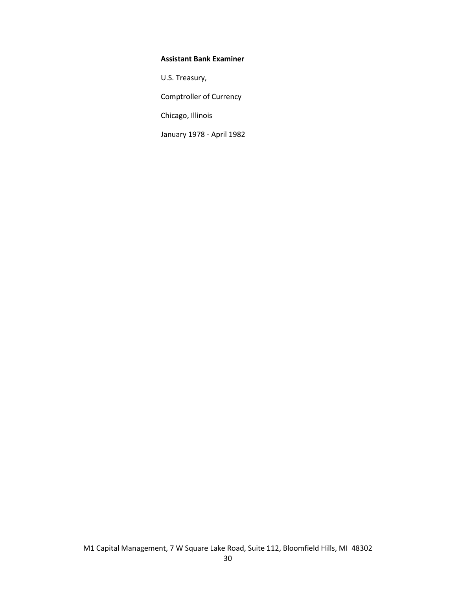### **Assistant Bank Examiner**

U.S. Treasury,

Comptroller of Currency

Chicago, Illinois

January 1978 - April 1982